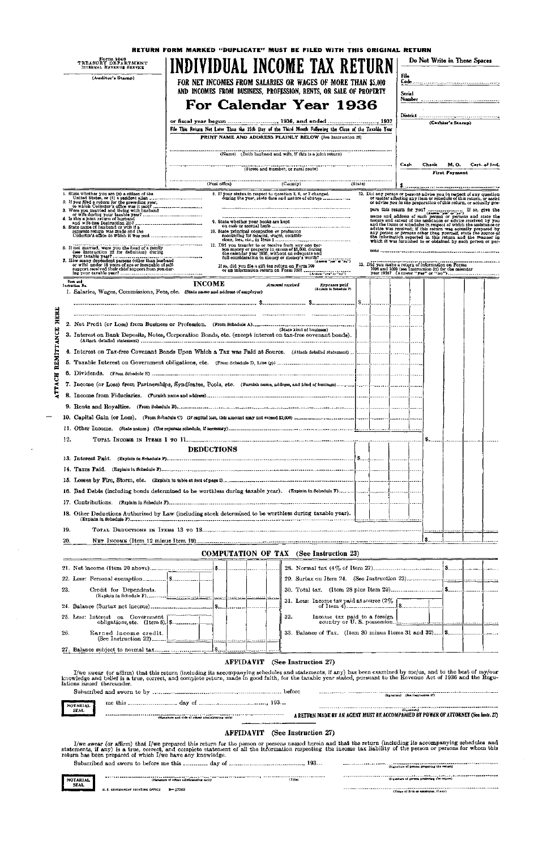| Form 1040<br>TREASURY DEPARTMENT<br>INTERNAL REVENUE SERVICE                                                                                                                                       | RETURN FORM MARKED "DUPLICATE" MUST BE FILED WITH THIS ORIGINAL RETURN<br>INDIVIDUAL INCOME TAX RETURN  |                                                                                                                                                                                   |                              |                | Do Not Write in These Spaces                                                                                                                                                                                                  |
|----------------------------------------------------------------------------------------------------------------------------------------------------------------------------------------------------|---------------------------------------------------------------------------------------------------------|-----------------------------------------------------------------------------------------------------------------------------------------------------------------------------------|------------------------------|----------------|-------------------------------------------------------------------------------------------------------------------------------------------------------------------------------------------------------------------------------|
| (Auditor's Stamp)                                                                                                                                                                                  |                                                                                                         |                                                                                                                                                                                   |                              | File           |                                                                                                                                                                                                                               |
|                                                                                                                                                                                                    |                                                                                                         | FOR NET INCOMES FROM SALARIES OR WAGES OF MORE THAN \$5,000<br>AND INCOMES FROM BUSINESS, PROFESSION, RENTS, OR SALE OF PROPERTY                                                  |                              |                |                                                                                                                                                                                                                               |
|                                                                                                                                                                                                    |                                                                                                         |                                                                                                                                                                                   |                              | Serial         |                                                                                                                                                                                                                               |
|                                                                                                                                                                                                    |                                                                                                         | For Calendar Year 1936                                                                                                                                                            |                              |                |                                                                                                                                                                                                                               |
|                                                                                                                                                                                                    |                                                                                                         |                                                                                                                                                                                   |                              |                | (Cashier's Stamp)                                                                                                                                                                                                             |
|                                                                                                                                                                                                    | File This Return Not Later Than the 15th Day of the Third Month Following the Close of the Taxable Year | PRINT NAME AND ADDRESS PLAINLY BELOW (See Instruction 28)                                                                                                                         |                              |                |                                                                                                                                                                                                                               |
|                                                                                                                                                                                                    |                                                                                                         |                                                                                                                                                                                   |                              |                |                                                                                                                                                                                                                               |
|                                                                                                                                                                                                    |                                                                                                         | (Name) (Both husband and wife, if this is a joint return)                                                                                                                         |                              |                |                                                                                                                                                                                                                               |
|                                                                                                                                                                                                    |                                                                                                         | (Street and number, or rural route)                                                                                                                                               |                              | Cash.<br>Check | м. о.<br>Cert. of Ind.<br>First Payment                                                                                                                                                                                       |
|                                                                                                                                                                                                    | (Post office)                                                                                           | $\langle$ County)                                                                                                                                                                 | (State)                      |                |                                                                                                                                                                                                                               |
| i. State whether you are (c) a citizen of the                                                                                                                                                      |                                                                                                         | 8. If your status in respect to question 3, 6, or 7 changed<br>during the year, state date and nature of change                                                                   |                              |                | 12. Did any person or persons advise you in respect of any question<br>or matter affecting any item or schedule of this return, or assist                                                                                     |
| 2. If you filed a return for the preceding year,<br>to which Collector's office was it sant?                                                                                                       |                                                                                                         |                                                                                                                                                                                   |                              |                | or advise you in the preparation of this return, or actually pre-                                                                                                                                                             |
| 3. Were you married and hiving with husband<br>or wife during your taxable year?<br>4. Is this a joint return of busband<br>4. Is this a joint return of busband<br>and wife (see Instruction 21)? |                                                                                                         |                                                                                                                                                                                   |                              |                | pare this return for your contract of the party if so, give the name and address of such persons or persons and state the nature and extent of the assistance or edvice received by you and the items or schedules in respect |
| 5. State name of husband or wife if a<br>separate return was made and the                                                                                                                          | 10. State principal occupation or profession                                                            |                                                                                                                                                                                   |                              |                |                                                                                                                                                                                                                               |
|                                                                                                                                                                                                    |                                                                                                         | excelling for salaries, wages, commis-<br>slons, fees, etc., in Item 1<br>11. Did you transfer to or recoive from any one per-                                                    |                              |                |                                                                                                                                                                                                                               |
| 6. If not married, were you the head of a family<br>(see Instruction 22 for definition) during<br>your tanable year?<br>7. How many dependent persons (other than husband                          |                                                                                                         | For you then you will be excess of \$5,000, during<br>the calendar year 1936, without an adequate and<br>full consideration in money or money's worth?<br>$(1.484 \text{ m/s})^2$ |                              |                |                                                                                                                                                                                                                               |
| or wife) under 18 years of age or incapable of self-<br>support received their chief support from you dur-                                                                                         |                                                                                                         |                                                                                                                                                                                   |                              |                | 13. Did you make a return of information on Forms                                                                                                                                                                             |
|                                                                                                                                                                                                    |                                                                                                         | If so, did you file a gift tax return on Form 709<br>or an information return on Form 7107                                                                                        |                              |                | 1096 and 1099 (see Instruction 31) for the calendar<br>year 1936? (Answer "yea" or "no")                                                                                                                                      |
| Ilen und<br>Lastraction No.                                                                                                                                                                        | <b>INCOME</b>                                                                                           | Amount received<br>Expenses paid<br>(Espleiz la Bohedule F)                                                                                                                       |                              |                |                                                                                                                                                                                                                               |
| 1. Salaries, Wages, Commissions, Fees, etc. (State name and address of employer)                                                                                                                   |                                                                                                         |                                                                                                                                                                                   |                              |                |                                                                                                                                                                                                                               |
|                                                                                                                                                                                                    |                                                                                                         |                                                                                                                                                                                   |                              |                |                                                                                                                                                                                                                               |
| HERE                                                                                                                                                                                               |                                                                                                         |                                                                                                                                                                                   |                              |                |                                                                                                                                                                                                                               |
| 5                                                                                                                                                                                                  |                                                                                                         | (State kind of business)                                                                                                                                                          |                              |                |                                                                                                                                                                                                                               |
|                                                                                                                                                                                                    |                                                                                                         |                                                                                                                                                                                   |                              |                |                                                                                                                                                                                                                               |
|                                                                                                                                                                                                    |                                                                                                         |                                                                                                                                                                                   |                              |                |                                                                                                                                                                                                                               |
|                                                                                                                                                                                                    |                                                                                                         |                                                                                                                                                                                   |                              |                |                                                                                                                                                                                                                               |
|                                                                                                                                                                                                    |                                                                                                         |                                                                                                                                                                                   |                              |                |                                                                                                                                                                                                                               |
|                                                                                                                                                                                                    |                                                                                                         |                                                                                                                                                                                   |                              |                |                                                                                                                                                                                                                               |
|                                                                                                                                                                                                    |                                                                                                         |                                                                                                                                                                                   |                              |                |                                                                                                                                                                                                                               |
|                                                                                                                                                                                                    |                                                                                                         |                                                                                                                                                                                   |                              |                |                                                                                                                                                                                                                               |
|                                                                                                                                                                                                    |                                                                                                         |                                                                                                                                                                                   |                              |                |                                                                                                                                                                                                                               |
|                                                                                                                                                                                                    |                                                                                                         |                                                                                                                                                                                   |                              |                |                                                                                                                                                                                                                               |
| 12.                                                                                                                                                                                                |                                                                                                         |                                                                                                                                                                                   |                              |                |                                                                                                                                                                                                                               |
|                                                                                                                                                                                                    | <b>DEDUCTIONS</b>                                                                                       |                                                                                                                                                                                   |                              |                |                                                                                                                                                                                                                               |
|                                                                                                                                                                                                    |                                                                                                         |                                                                                                                                                                                   |                              |                |                                                                                                                                                                                                                               |
|                                                                                                                                                                                                    |                                                                                                         |                                                                                                                                                                                   |                              |                |                                                                                                                                                                                                                               |
|                                                                                                                                                                                                    |                                                                                                         |                                                                                                                                                                                   |                              |                |                                                                                                                                                                                                                               |
|                                                                                                                                                                                                    |                                                                                                         |                                                                                                                                                                                   |                              |                |                                                                                                                                                                                                                               |
|                                                                                                                                                                                                    |                                                                                                         |                                                                                                                                                                                   |                              |                |                                                                                                                                                                                                                               |
| 18. Other Deductions Authorized by Law (including stock determined to be worthless during taxable year).                                                                                           |                                                                                                         |                                                                                                                                                                                   |                              |                |                                                                                                                                                                                                                               |
| 19.                                                                                                                                                                                                |                                                                                                         |                                                                                                                                                                                   |                              |                |                                                                                                                                                                                                                               |
| 20.                                                                                                                                                                                                |                                                                                                         |                                                                                                                                                                                   |                              |                |                                                                                                                                                                                                                               |
|                                                                                                                                                                                                    |                                                                                                         | <b>COMPUTATION OF TAX</b> (See Instruction 23)                                                                                                                                    |                              |                |                                                                                                                                                                                                                               |
|                                                                                                                                                                                                    |                                                                                                         |                                                                                                                                                                                   |                              |                |                                                                                                                                                                                                                               |
|                                                                                                                                                                                                    |                                                                                                         |                                                                                                                                                                                   |                              |                |                                                                                                                                                                                                                               |
|                                                                                                                                                                                                    |                                                                                                         |                                                                                                                                                                                   |                              |                |                                                                                                                                                                                                                               |
| 23.                                                                                                                                                                                                |                                                                                                         |                                                                                                                                                                                   |                              |                |                                                                                                                                                                                                                               |
|                                                                                                                                                                                                    |                                                                                                         | 31. Less: Income tax paid at source $(2\% \)$<br>,                                                                                                                                |                              |                |                                                                                                                                                                                                                               |
| 25. Less: Interest on Government [<br>obligations, etc. (Item 5).   \$                                                                                                                             |                                                                                                         | 32.                                                                                                                                                                               | Income tax paid to a foreign |                |                                                                                                                                                                                                                               |
| 26.<br>Earned income credit.                                                                                                                                                                       |                                                                                                         | 33. Balance of Tax. (Item 30 minus Items 31 and 32)   \$                                                                                                                          |                              |                |                                                                                                                                                                                                                               |

I/we swear (or affirm) that this return (including its accompanying schedules and statements, if any) has been examined by me/us, and to the best of my/our knowledge and belief is a true, correct, and complete return, made in good faith, for the taxable year stated, pursuant to the Revenue Act of 1936 and the Regu**lations issued thereunder .** 

**(See Instruction 22)** 

# **AFFIDAVI T (Se e Instructio n 27 )**



# **AFFIDAVIT (See Instruction 27)**

I/we swear (or affirm) that I/we prepared this return for the person or persons named herein and that the return (including its accompanying schedules and statements, if any) is a true, correct, and complete statement of all the information respecting the income tax liability of the person or persons for whom this return has been prepared of which I/we have any knowledge.

|                     | 193                                                  | (Signature of person preparing the enturn)                   |
|---------------------|------------------------------------------------------|--------------------------------------------------------------|
| NOTARIAL            | (Title)<br>(dignature of officer administering cath) | . <i>. .</i> .<br>[Signature of person pretering the return) |
| <b>SEAL</b><br>____ | $2 - 17202$<br>U. S. COVERNMENT FRINTING OFFICE      | ----------<br>(Name of firm or employer, if any)             |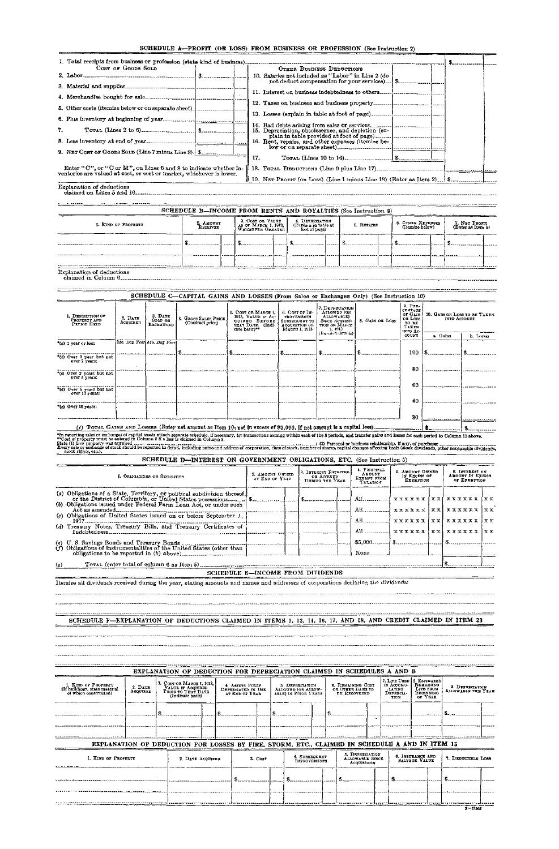# SCHEDULE A-PROFIT (OR LOSS) FROM BUSINESS OR PROFESSION (See Instruction 2)

| Cost or Goods Sold                                                                                                                       | OTHER BUSINESS DEDUCTIONS                            |  |  |
|------------------------------------------------------------------------------------------------------------------------------------------|------------------------------------------------------|--|--|
|                                                                                                                                          | 10. Salaries not included as "Labor" in Line $2$ (do |  |  |
|                                                                                                                                          |                                                      |  |  |
|                                                                                                                                          |                                                      |  |  |
|                                                                                                                                          |                                                      |  |  |
|                                                                                                                                          |                                                      |  |  |
|                                                                                                                                          |                                                      |  |  |
| 7.                                                                                                                                       | 15. Depreciation, obsolescence, and depletion (ex-   |  |  |
|                                                                                                                                          | 16. Rent, repairs, and other expenses (itemize be-   |  |  |
|                                                                                                                                          |                                                      |  |  |
|                                                                                                                                          | 17.                                                  |  |  |
| Enter "C", or "C or M", on Lines 6 and 8 to indicate whether in-<br>ventories are valued at cost, or cost or market, whichever is lower. |                                                      |  |  |
|                                                                                                                                          |                                                      |  |  |
| Explanation of deductions                                                                                                                |                                                      |  |  |

|                                                                                                                                                                                                                                                                                                        |                     |                                        | SCHEDULE C-CAPITAL GAINS AND LOSSES (From Sales or Exchanges Only) (See Instruction 10)                              |                                                                                                              |                                                                                  |                                                                                                        |                                                                                                                                                                                                                            |                                                                         |                                                     |           |
|--------------------------------------------------------------------------------------------------------------------------------------------------------------------------------------------------------------------------------------------------------------------------------------------------------|---------------------|----------------------------------------|----------------------------------------------------------------------------------------------------------------------|--------------------------------------------------------------------------------------------------------------|----------------------------------------------------------------------------------|--------------------------------------------------------------------------------------------------------|----------------------------------------------------------------------------------------------------------------------------------------------------------------------------------------------------------------------------|-------------------------------------------------------------------------|-----------------------------------------------------|-----------|
| 1. DESCRIPTION OF<br>PROPERTY AND<br>PELIOD HELD                                                                                                                                                                                                                                                       | 2. DATE<br>ACQUIRED | 3. DATE<br>SOLD OR<br><b>EXCHANGED</b> | GROSS SALES PRICE<br>(Contract price)                                                                                | 5. COST OR MARCH 1.<br>1913. VALUE IF AC-<br>QUIRED BEFORE<br>THAT DATE. (Indi-<br>cate basis) <sup>24</sup> | 6. Cosr or IM-<br>PROVEMENTS<br>SUBSEQUENT TO<br>ACQUISITION OR<br>MARCH 1, 1913 | 7. DEPRECIATION<br>ALLOWED (OR<br><b>ALLOWABLE)</b><br><b>SINCE ACOUSI-</b><br>TION OR MARCH<br>1.1913 | 8. GAIN OR LOSS                                                                                                                                                                                                            | $9.$ Pzr.<br>CENTAGE<br>of Gain<br>OR LOSS<br>TO BE<br>TAKEN<br>INTO AC | 10. GAIN OR LOSS TO BE TAKEN<br><b>INTO ACCOUNT</b> |           |
|                                                                                                                                                                                                                                                                                                        |                     |                                        |                                                                                                                      |                                                                                                              |                                                                                  | (Farnish details)                                                                                      |                                                                                                                                                                                                                            | COUNT                                                                   | a. Gains                                            | b. Losses |
| $*(a)$ I year or less:                                                                                                                                                                                                                                                                                 |                     | Me. Day Year Mo. Day Year              |                                                                                                                      |                                                                                                              |                                                                                  |                                                                                                        |                                                                                                                                                                                                                            |                                                                         |                                                     |           |
|                                                                                                                                                                                                                                                                                                        |                     |                                        |                                                                                                                      |                                                                                                              |                                                                                  |                                                                                                        |                                                                                                                                                                                                                            | 100                                                                     |                                                     |           |
| "(b) Over I year but not<br>over 2 years:                                                                                                                                                                                                                                                              |                     |                                        |                                                                                                                      |                                                                                                              |                                                                                  |                                                                                                        |                                                                                                                                                                                                                            |                                                                         |                                                     |           |
| *(c) Over 2 years but not<br>отег 5 усатз.                                                                                                                                                                                                                                                             |                     |                                        |                                                                                                                      |                                                                                                              |                                                                                  |                                                                                                        |                                                                                                                                                                                                                            | 80                                                                      |                                                     |           |
|                                                                                                                                                                                                                                                                                                        |                     |                                        |                                                                                                                      |                                                                                                              |                                                                                  |                                                                                                        |                                                                                                                                                                                                                            | 80                                                                      |                                                     |           |
| "(d) Over 5 years but not<br>OVET 10 years:                                                                                                                                                                                                                                                            |                     |                                        |                                                                                                                      |                                                                                                              |                                                                                  |                                                                                                        |                                                                                                                                                                                                                            |                                                                         |                                                     |           |
|                                                                                                                                                                                                                                                                                                        |                     |                                        |                                                                                                                      |                                                                                                              |                                                                                  |                                                                                                        |                                                                                                                                                                                                                            | 40                                                                      |                                                     |           |
| "(c) Over 10 years:                                                                                                                                                                                                                                                                                    |                     |                                        |                                                                                                                      |                                                                                                              |                                                                                  |                                                                                                        |                                                                                                                                                                                                                            |                                                                         |                                                     |           |
|                                                                                                                                                                                                                                                                                                        |                     |                                        |                                                                                                                      |                                                                                                              |                                                                                  |                                                                                                        |                                                                                                                                                                                                                            | 30                                                                      |                                                     |           |
|                                                                                                                                                                                                                                                                                                        |                     |                                        | (f) TOTAL GAINS AND LOSSES (Euter net amount as Item 10; net in excess of \$2,000, if net amount is a capital less). |                                                                                                              |                                                                                  |                                                                                                        |                                                                                                                                                                                                                            |                                                                         |                                                     |           |
| "In reporting sales or exchanges of capital assets attach separate schedule, if necessary, for transactions coming within each of the 5 periods, and transfer gains and losses for each period to Column 10 above.<br>**Cost of property must be entered in Column 5 If a loss is claimed in Column 8. |                     |                                        |                                                                                                                      |                                                                                                              |                                                                                  |                                                                                                        |                                                                                                                                                                                                                            |                                                                         |                                                     |           |
| Reats (1) ham neaparty map anottical                                                                                                                                                                                                                                                                   |                     |                                        |                                                                                                                      |                                                                                                              |                                                                                  |                                                                                                        | (9) Thomas at an instruction of distribution of a construction of the set of the set of the set of the set of the set of the set of the set of the set of the set of the set of the set of the set of the set of the set o |                                                                         |                                                     |           |

\*Cost of property must be entered in Column 5 if a loss is claimed in Column 8.<br>Every sele or exchange of stock rise and determined in the stock of the stock of the stock of the stock of the<br>Every sele or exchange of stock

claimed on Lines 5 and 16-

. . . . . . . . . . . . . . . . . . .

------...**..........** SCHEDULE B-INCOME FROM RENTS AND ROYALTIES (See Instruction 9)

| I. KUD OF PROPERTY | 2. AMOUNT<br>RECEIVED |  | 3. COST OR VALUE<br>AS OF MARCH 1, 1913, |  | 4. DEPRECIATION<br>(Explain in table at<br>foot of page) |  | 5. REPATES | 6. OTHER EXPENSES<br>(Itemize below) | 7. NET PROFIT<br>(Enter as Item 9) |  |  |
|--------------------|-----------------------|--|------------------------------------------|--|----------------------------------------------------------|--|------------|--------------------------------------|------------------------------------|--|--|
|                    |                       |  |                                          |  |                                                          |  |            |                                      |                                    |  |  |
|                    |                       |  |                                          |  |                                                          |  |            |                                      |                                    |  |  |

Explanation of deductions claimed in Column 6

| SCHEDULE D-INTEREST ON GOVERNMENT OBLIGATIONS, ETC. (See Instruction 5)                                                                                                                                                                                                                                                                                                                       |                                   |                                                       |                                                   |                                                     |                                                           |                                         |
|-----------------------------------------------------------------------------------------------------------------------------------------------------------------------------------------------------------------------------------------------------------------------------------------------------------------------------------------------------------------------------------------------|-----------------------------------|-------------------------------------------------------|---------------------------------------------------|-----------------------------------------------------|-----------------------------------------------------------|-----------------------------------------|
| 1. OBJIGATIONS OR SECURITIES                                                                                                                                                                                                                                                                                                                                                                  | 2. AMOUNT OWNED<br>AT END OF YEAR | 3. INTEREST RECEIVED<br>OR ACCRUED<br>DURING THE YEAR | 4. PRINCIPAL<br>AMOUNT<br>EXEMPT FROM<br>TAXATION | 5. AMOUNT OWNED<br>IN EXCESS OF<br><b>EXEMPTION</b> | 6. IRTEREST ON<br><b>AMOUNT IN EXCESS</b><br>OF EXEMPTION |                                         |
| 1917 -<br>(d) Treasury Notes, Treasury Bills, and Treasury Certificates of<br>(c) U.S. Savings Bonds and Treasury Bonds (a) above $\begin{bmatrix} 0 & 0 & 0 \\ 0 & 0 & 0 \\ 0 & 0 & 0 \\ 0 & 0 & 0 \\ 0 & 0 & 0 \\ 0 & 0 & 0 \\ 0 & 0 & 0 \\ 0 & 0 & 0 \\ 0 & 0 & 0 \\ 0 & 0 & 0 \\ 0 & 0 & 0 \\ 0 & 0 & 0 \\ 0 & 0 & 0 \\ 0 & 0 & 0 \\ 0 & 0 & 0 \\ 0 & 0 & 0 \\ 0 & 0 & 0 \\ 0 & 0 & 0 \\$ |                                   |                                                       |                                                   |                                                     |                                                           | i x x<br>$\mathbf{1} \times \mathbf{x}$ |
| (a)                                                                                                                                                                                                                                                                                                                                                                                           |                                   |                                                       |                                                   |                                                     |                                                           |                                         |
|                                                                                                                                                                                                                                                                                                                                                                                               | SCHEDULE E-INCOME FROM DIVIDENDS  |                                                       |                                                   |                                                     |                                                           |                                         |
| Itemize all dividends received during the year, stating amounts and names and addresses of corporations declaring the dividends:                                                                                                                                                                                                                                                              |                                   |                                                       |                                                   |                                                     |                                                           |                                         |
|                                                                                                                                                                                                                                                                                                                                                                                               |                                   |                                                       |                                                   |                                                     |                                                           |                                         |

SCHEDULE F—EXPLANATION OF DEDUCTIONS CLAIMED IN ITEMS 1, 13, 14, 16, 17, AND 18, AND CREDIT CLAIMED IN ITEM 23

--------------------

------------

|                                                                               |                     | EXPLANATION OF DEDUCTION FOR DEPRECIATION CLAIMED IN SCHEDULES A AND B                         |  |                                                         |  |                                                               |                                                               |                                                  |                                                                                      |                                        |  |
|-------------------------------------------------------------------------------|---------------------|------------------------------------------------------------------------------------------------|--|---------------------------------------------------------|--|---------------------------------------------------------------|---------------------------------------------------------------|--------------------------------------------------|--------------------------------------------------------------------------------------|----------------------------------------|--|
| 1. KIND OF PROPERTY<br>(If buildings, state material<br>of which constructed) | 2. DATE<br>ACQUIRED | 3. Cost on MARCH 1, 1913.<br>VALUE IF ACQUIRED<br>PRIOR TO THAT DATE<br>(Indicate basis)       |  | 4. ASSETS FULLY<br>DEPERCIATED IN USE<br>AT END OF YEAR |  | 5. DEPRECIATION<br>ALLOWED (OR ALLOW-<br>ABLE) IN PRIOR YEARS | 6. REMAINING COST<br>OR OTHER BASIS TO<br><b>DE RECOVERED</b> | IN ACCUNU-<br><b>LATING</b><br>DEPRECIA-<br>TION | 7. LIFE USED   8. ESTIMATED<br>REMAINING<br>LIFE FROM<br><b>BEGINNING</b><br>OF YEAR | 9. DEPRECIATION<br>ALLOWABLE THIS YEAR |  |
|                                                                               |                     |                                                                                                |  |                                                         |  |                                                               |                                                               |                                                  |                                                                                      |                                        |  |
|                                                                               |                     | EXPLANATION OF DEDUCTION FOR LOSSES BY FIRE, STORM, ETC., CLAIMED IN SCHEDULE A AND IN ITEM 15 |  |                                                         |  |                                                               |                                                               |                                                  |                                                                                      |                                        |  |
| I. KIND OF PROPERTY                                                           |                     | 2 DATE ACOURED                                                                                 |  | 3. COST                                                 |  | 4. SUBSEQUENT<br><b>IMPROVEMENTS</b>                          | 5. DEPRECIATION<br>ALLOWABLE SINCE<br>ACQUISITION             |                                                  | 6. INSURANCE AND<br>SALVAGE VALUE                                                    | 7. DEDUCTIBLE LOSS                     |  |
|                                                                               |                     |                                                                                                |  |                                                         |  |                                                               |                                                               |                                                  |                                                                                      |                                        |  |
|                                                                               |                     |                                                                                                |  |                                                         |  |                                                               |                                                               |                                                  |                                                                                      |                                        |  |
|                                                                               |                     |                                                                                                |  |                                                         |  |                                                               |                                                               |                                                  |                                                                                      | $2 - 17302$                            |  |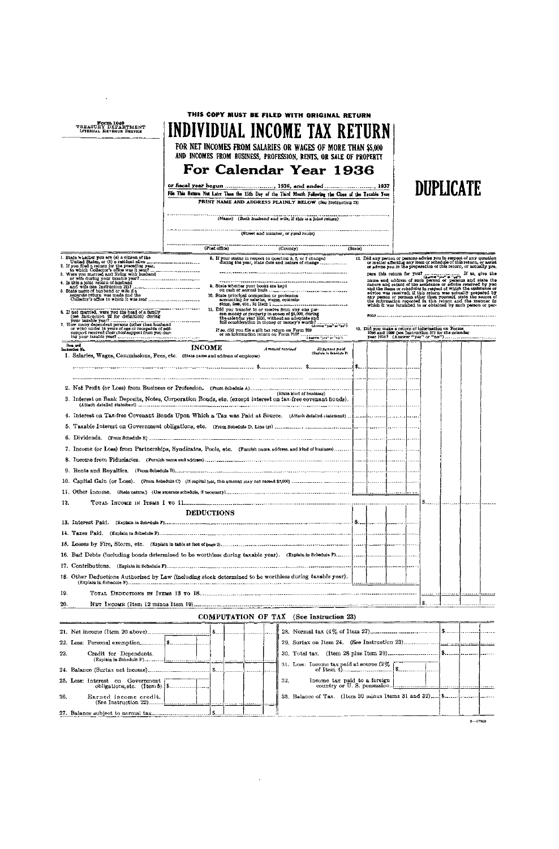|                                                                                                                                                                                                                                      |                       |                                      | THIS COPY MUST BE FILED WITH ORIGINAL RETURN                                                                                                                                                                         |         |  |  |                                                                                                                                                                                                                                |  |
|--------------------------------------------------------------------------------------------------------------------------------------------------------------------------------------------------------------------------------------|-----------------------|--------------------------------------|----------------------------------------------------------------------------------------------------------------------------------------------------------------------------------------------------------------------|---------|--|--|--------------------------------------------------------------------------------------------------------------------------------------------------------------------------------------------------------------------------------|--|
| Form 1040<br>TREASURY DEPARTMENT<br>INTERNAL REVENUE SERVICE                                                                                                                                                                         |                       |                                      | INDIVIDUAL INCOME TAX RETURN                                                                                                                                                                                         |         |  |  |                                                                                                                                                                                                                                |  |
|                                                                                                                                                                                                                                      |                       |                                      | FOR NET INCOMES FROM SALARIES OR WAGES OF MORE THAN \$5,000<br>AND INCOMES FROM BUSINESS, PROFESSION, RENTS, OR SALE OF PROPERTY                                                                                     |         |  |  |                                                                                                                                                                                                                                |  |
|                                                                                                                                                                                                                                      |                       |                                      | For Calendar Year 1936                                                                                                                                                                                               |         |  |  |                                                                                                                                                                                                                                |  |
|                                                                                                                                                                                                                                      |                       |                                      |                                                                                                                                                                                                                      |         |  |  |                                                                                                                                                                                                                                |  |
|                                                                                                                                                                                                                                      |                       |                                      | File This Return Not Later Than the 15th Day of the Third Month Following the Close of the Taxable Year                                                                                                              |         |  |  | DUPLICATE                                                                                                                                                                                                                      |  |
|                                                                                                                                                                                                                                      |                       |                                      | PRINT NAME AND ADDRESS PLAINLY BELOW (See Instruction 23)                                                                                                                                                            |         |  |  |                                                                                                                                                                                                                                |  |
|                                                                                                                                                                                                                                      |                       |                                      | (Name) (Both husband and wife, if this is a joint return)                                                                                                                                                            |         |  |  |                                                                                                                                                                                                                                |  |
|                                                                                                                                                                                                                                      |                       |                                      | (Street and number, or rural route)                                                                                                                                                                                  |         |  |  |                                                                                                                                                                                                                                |  |
|                                                                                                                                                                                                                                      |                       |                                      | (Post office) (County)                                                                                                                                                                                               | (3tate) |  |  |                                                                                                                                                                                                                                |  |
| i. State whether you are (a) a citizen of the                                                                                                                                                                                        |                       |                                      | <u> Andrew Griego de Agosto de la contrada de la contrada de la c</u><br>8. If your status in respect to question 3, 6, or 7 changed<br>during the year, state date and nature of change                             |         |  |  | 12. Did any person or persons advise you in respect of any question or matter affecting any item or schedule of this return, or assist or advise you in the preparation of this return, or actually pre.                       |  |
| United States, or (b) a resident alien<br>2. If you filed States, or (b) a resident alien<br>2. If you flied a return for the preceding year,<br>to which Collector's office was it sent?<br>3. Were you married and living with hus |                       |                                      |                                                                                                                                                                                                                      |         |  |  |                                                                                                                                                                                                                                |  |
| or wife during your taxable year?                                                                                                                                                                                                    |                       | 9. State whether your books are kept |                                                                                                                                                                                                                      |         |  |  |                                                                                                                                                                                                                                |  |
| 5. State name of husband or wife it a<br>separate return was made and the                                                                                                                                                            |                       |                                      |                                                                                                                                                                                                                      |         |  |  | and the items or schedules in respect of which the assistance or advice was received; if this return was actually pregned by any approach and the internation of persons other than yourself, state the source of the informat |  |
|                                                                                                                                                                                                                                      |                       |                                      | 11. Did you transfer to or receive from any one per-                                                                                                                                                                 |         |  |  | which it was furnished to or obtained by such person or per-                                                                                                                                                                   |  |
| 6. If not married, were you the head of a family                                                                                                                                                                                     |                       |                                      | son money or property in excess of \$5,000, during                                                                                                                                                                   |         |  |  |                                                                                                                                                                                                                                |  |
|                                                                                                                                                                                                                                      |                       |                                      | the calendar year 1936, without an adequate and the calendar year 1936, without an adequate and<br>If so, did you file a gift tax return on Form 709<br>or an information return on Form 710f (Assume "yes" or "na") |         |  |  |                                                                                                                                                                                                                                |  |
| <b>Lions</b> and<br>Instruction No.                                                                                                                                                                                                  | <b>INCOME</b>         |                                      | Amount received<br>Expenses paid                                                                                                                                                                                     |         |  |  |                                                                                                                                                                                                                                |  |
| 1. Salaries, Wages, Commissions, Fees, etc. (State name and address of employer)                                                                                                                                                     |                       |                                      | (Suplain in Sehedule F)                                                                                                                                                                                              |         |  |  |                                                                                                                                                                                                                                |  |
|                                                                                                                                                                                                                                      |                       |                                      |                                                                                                                                                                                                                      |         |  |  |                                                                                                                                                                                                                                |  |
|                                                                                                                                                                                                                                      |                       |                                      |                                                                                                                                                                                                                      |         |  |  |                                                                                                                                                                                                                                |  |
| 3. Interest on Bank Deposits, Notes, Corporation Bonds, etc. (except interest on tax-free covenant bonds).                                                                                                                           |                       |                                      | (State kind of business)                                                                                                                                                                                             |         |  |  |                                                                                                                                                                                                                                |  |
|                                                                                                                                                                                                                                      |                       |                                      |                                                                                                                                                                                                                      |         |  |  |                                                                                                                                                                                                                                |  |
|                                                                                                                                                                                                                                      |                       |                                      |                                                                                                                                                                                                                      |         |  |  |                                                                                                                                                                                                                                |  |
|                                                                                                                                                                                                                                      |                       |                                      |                                                                                                                                                                                                                      |         |  |  |                                                                                                                                                                                                                                |  |
|                                                                                                                                                                                                                                      |                       |                                      |                                                                                                                                                                                                                      |         |  |  |                                                                                                                                                                                                                                |  |
|                                                                                                                                                                                                                                      |                       |                                      |                                                                                                                                                                                                                      |         |  |  |                                                                                                                                                                                                                                |  |
|                                                                                                                                                                                                                                      |                       |                                      |                                                                                                                                                                                                                      |         |  |  |                                                                                                                                                                                                                                |  |
|                                                                                                                                                                                                                                      |                       |                                      |                                                                                                                                                                                                                      |         |  |  |                                                                                                                                                                                                                                |  |
|                                                                                                                                                                                                                                      |                       |                                      |                                                                                                                                                                                                                      |         |  |  |                                                                                                                                                                                                                                |  |
|                                                                                                                                                                                                                                      |                       |                                      |                                                                                                                                                                                                                      |         |  |  |                                                                                                                                                                                                                                |  |
| 12.                                                                                                                                                                                                                                  |                       |                                      |                                                                                                                                                                                                                      |         |  |  |                                                                                                                                                                                                                                |  |
|                                                                                                                                                                                                                                      | <b>DEDUCTIONS</b>     |                                      |                                                                                                                                                                                                                      |         |  |  |                                                                                                                                                                                                                                |  |
|                                                                                                                                                                                                                                      |                       |                                      |                                                                                                                                                                                                                      |         |  |  |                                                                                                                                                                                                                                |  |
|                                                                                                                                                                                                                                      |                       |                                      |                                                                                                                                                                                                                      |         |  |  |                                                                                                                                                                                                                                |  |
|                                                                                                                                                                                                                                      |                       |                                      |                                                                                                                                                                                                                      |         |  |  |                                                                                                                                                                                                                                |  |
|                                                                                                                                                                                                                                      |                       |                                      |                                                                                                                                                                                                                      |         |  |  |                                                                                                                                                                                                                                |  |
| 18. Other Deductions Authorized by Law (including stock determined to be worthless during taxable year).                                                                                                                             |                       |                                      |                                                                                                                                                                                                                      |         |  |  |                                                                                                                                                                                                                                |  |
| 19.                                                                                                                                                                                                                                  |                       |                                      |                                                                                                                                                                                                                      |         |  |  |                                                                                                                                                                                                                                |  |
| 20.                                                                                                                                                                                                                                  |                       |                                      |                                                                                                                                                                                                                      |         |  |  |                                                                                                                                                                                                                                |  |
|                                                                                                                                                                                                                                      |                       |                                      | COMPUTATION OF TAX (See Instruction 23)                                                                                                                                                                              |         |  |  |                                                                                                                                                                                                                                |  |
|                                                                                                                                                                                                                                      |                       |                                      |                                                                                                                                                                                                                      |         |  |  |                                                                                                                                                                                                                                |  |
|                                                                                                                                                                                                                                      |                       |                                      |                                                                                                                                                                                                                      |         |  |  |                                                                                                                                                                                                                                |  |
| 23.<br>Credit for Dependents.                                                                                                                                                                                                        |                       |                                      |                                                                                                                                                                                                                      |         |  |  |                                                                                                                                                                                                                                |  |
|                                                                                                                                                                                                                                      | EBOUL TOT DEPERGENCE. |                                      | 31. Less: Income tax paid at source $(2\% \overline{\phantom{a}})$                                                                                                                                                   |         |  |  |                                                                                                                                                                                                                                |  |
|                                                                                                                                                                                                                                      |                       |                                      |                                                                                                                                                                                                                      |         |  |  |                                                                                                                                                                                                                                |  |
| 25. Less: Interest on Government i                                                                                                                                                                                                   |                       |                                      | 32.                                                                                                                                                                                                                  |         |  |  |                                                                                                                                                                                                                                |  |
| 26.                                                                                                                                                                                                                                  |                       |                                      |                                                                                                                                                                                                                      |         |  |  |                                                                                                                                                                                                                                |  |
|                                                                                                                                                                                                                                      |                       |                                      |                                                                                                                                                                                                                      |         |  |  |                                                                                                                                                                                                                                |  |

 $\sim$   $\sim$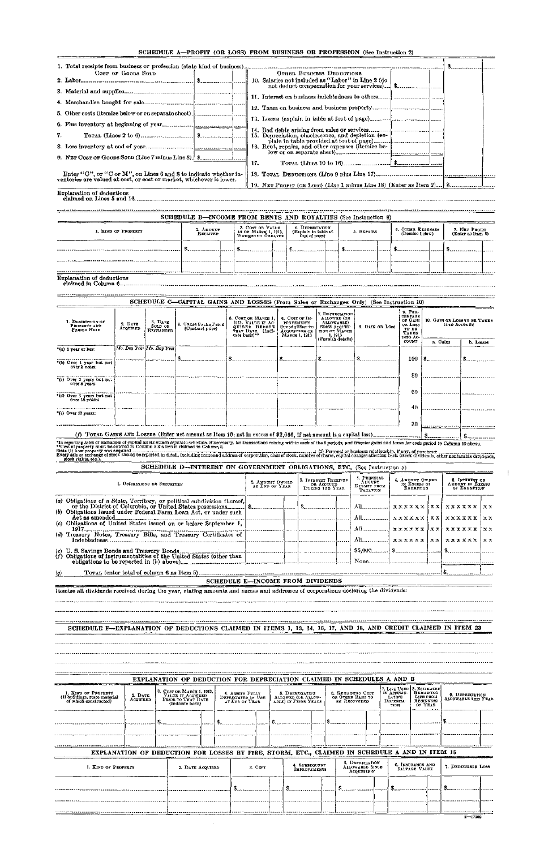|    | 1. Total receipts from business or profession (state kind of business).                                                             |     |                                                    |  |  |
|----|-------------------------------------------------------------------------------------------------------------------------------------|-----|----------------------------------------------------|--|--|
|    | COST OF GOODS SOLD                                                                                                                  |     | OTHER BUSINESS DEDUCTIONS                          |  |  |
|    |                                                                                                                                     |     | 10. Salaries not included as "Labor" in Line 2 (do |  |  |
|    |                                                                                                                                     |     |                                                    |  |  |
|    |                                                                                                                                     |     |                                                    |  |  |
|    |                                                                                                                                     |     |                                                    |  |  |
|    |                                                                                                                                     |     |                                                    |  |  |
|    |                                                                                                                                     |     |                                                    |  |  |
|    |                                                                                                                                     |     |                                                    |  |  |
| 7. |                                                                                                                                     |     |                                                    |  |  |
|    |                                                                                                                                     |     | 16. Rent, repairs, and other expenses (itemize be- |  |  |
|    |                                                                                                                                     |     |                                                    |  |  |
|    | 9. NET Cost of Goods Sold (Line 7 minus Line 8). [ \$]                                                                              | 17. |                                                    |  |  |
|    |                                                                                                                                     |     |                                                    |  |  |
|    | Enter "C", or "C or M", on Lines 6 and 8 to indicate whether inventories are valued at cost, or cost or market, whichever is lower. |     |                                                    |  |  |
|    |                                                                                                                                     |     |                                                    |  |  |
|    | _                                                                                                                                   |     |                                                    |  |  |

|                     | SCHEDULE B-INCOME FROM RENTS AND ROYALTIES (See Instruction 9) |                                                               |  |                                                          |            |                                      |                                    |  |
|---------------------|----------------------------------------------------------------|---------------------------------------------------------------|--|----------------------------------------------------------|------------|--------------------------------------|------------------------------------|--|
| 1. KIND OF PROPERTY | 2. AMOUNT<br><b>RECEIVED</b>                                   | 3. COST OR VALUE<br>AS OF MARCH 1, 1913,<br>WEICHEVER GREATER |  | 4. DEPRECIATION<br>(Explain in table at<br>foot of page) | 5. REPAIRS | 6. OTHER EXPENSES<br>(Itemize below) | 7. NET PROFIT<br>(Enter as Itam 9) |  |
|                     |                                                                |                                                               |  |                                                          |            |                                      |                                    |  |
|                     |                                                                |                                                               |  |                                                          |            |                                      |                                    |  |

Explanation of deductions claimed on Lines 5 and 16..

Explanation of deductions claimed in Column 6

|                                                                                                                                          |                     |                                        | SCHEDULE C-CAPITAL GAINS AND LOSSES (From Sales or Exchanges Only) (See Instruction 10) |                                                                                                  |                                        |                                                             |                                                                                            |                                       |                              |                                        |                         |                                                 |                         |
|------------------------------------------------------------------------------------------------------------------------------------------|---------------------|----------------------------------------|-----------------------------------------------------------------------------------------|--------------------------------------------------------------------------------------------------|----------------------------------------|-------------------------------------------------------------|--------------------------------------------------------------------------------------------|---------------------------------------|------------------------------|----------------------------------------|-------------------------|-------------------------------------------------|-------------------------|
| 1. DESCRIPTION OF<br>PROPERTY AND<br>PERIOD HEID                                                                                         | 2. DATE<br>ACQUIRED | 3. DATE<br>SOLD OR<br><b>EXCHANGED</b> | 4. Gross Fales Price<br>(Contract price)                                                | 5. COST OR MARCH 1.<br>1913. VALUE IF AC-<br>QUIRED BEFORE<br>THAT DATE. (Indi-<br>cate basis)** | 6. COST OF IM-<br><b>BUBSEQUENT TO</b> | <b>PROVEMENTS</b><br><b>ACQUISITION OR</b><br>MARCH 1, 1913 | 7. DEPEECLATION<br>ALLOWED (OR<br>ALLOWABLE)<br>SINCE ACQUISI-<br>TION OR MARCH<br>1, 1913 | 8. GAIN OR LOSS                       | 9. PER-<br>TAKEN<br>INTO AC- | CENTAGE<br>of Gain<br>OR LOSS<br>TO BE |                         | 10. GAIN OR LOSS TO BE TAKEN<br>INTO ACCOUNT    |                         |
|                                                                                                                                          |                     |                                        |                                                                                         |                                                                                                  |                                        |                                                             | (Furnish details)                                                                          |                                       | <b>COUNT</b>                 |                                        | a. Gains                |                                                 | b. Losses               |
| '(c) I year or less:                                                                                                                     |                     | Mo. Day Year Mo. Day Year              |                                                                                         |                                                                                                  |                                        |                                                             |                                                                                            |                                       |                              |                                        |                         |                                                 |                         |
| *(b) Over 1 year but not<br>OVER 2 vears.                                                                                                |                     |                                        |                                                                                         | $\textbf{\$}$                                                                                    | \$                                     |                                                             |                                                                                            |                                       |                              | 100                                    |                         |                                                 |                         |
| "(c) Over 2 years but not<br>over 5 years:                                                                                               |                     |                                        |                                                                                         |                                                                                                  |                                        |                                                             |                                                                                            |                                       |                              | 80                                     |                         |                                                 |                         |
| (d) Over 5 years but not<br>Over 10 years:                                                                                               |                     |                                        |                                                                                         |                                                                                                  |                                        |                                                             |                                                                                            |                                       |                              | 60                                     |                         |                                                 |                         |
| "(e) Over 10 years:                                                                                                                      |                     |                                        |                                                                                         |                                                                                                  |                                        |                                                             |                                                                                            |                                       |                              | 40                                     |                         |                                                 |                         |
|                                                                                                                                          |                     |                                        |                                                                                         |                                                                                                  |                                        |                                                             |                                                                                            |                                       |                              | 30                                     |                         |                                                 |                         |
|                                                                                                                                          |                     |                                        |                                                                                         |                                                                                                  |                                        |                                                             |                                                                                            |                                       |                              |                                        |                         |                                                 |                         |
|                                                                                                                                          |                     |                                        |                                                                                         |                                                                                                  |                                        |                                                             |                                                                                            |                                       |                              |                                        |                         |                                                 |                         |
|                                                                                                                                          |                     | 1. OBIIGATIONS OR SECURITIES           | SCHEDULE D--INTEREST ON GOVERNMENT OBLIGATIONS, ETC. (See Instruction 5)                | 2. AMOUNT OWNED<br>AT END OF YEAR                                                                |                                        |                                                             | 3. Interest Received<br>OR ACCRUED                                                         | 4. PRINCIPAL<br>AMOUNT<br>EXEMPT FROM | 5. AMOUNT OWNED              | IN EXCESS OF EXEMPTION                 |                         | 6. INTEREST ON<br>AMOUNT IN EXCESS OF EXEMPTION |                         |
| (a) Obligations of a State, Territory, or political subdivision thereof,                                                                 |                     |                                        |                                                                                         |                                                                                                  |                                        |                                                             | DUEING 18E YEAR                                                                            | <b>TAXATION</b><br>$All$ <sub>1</sub> | xxxxxx                       |                                        | XX.                     | <b>xxxxxx</b>                                   | $\mathbf{X} \mathbf{X}$ |
|                                                                                                                                          |                     |                                        |                                                                                         |                                                                                                  |                                        |                                                             |                                                                                            | All                                   | xxxxxx                       |                                        | x x                     | xxxxxx                                          | $\times x$              |
| 1917 .                                                                                                                                   |                     |                                        |                                                                                         |                                                                                                  |                                        |                                                             |                                                                                            |                                       | <b>xxxxxx</b>                |                                        | $\mathbf{x} \mathbf{x}$ | <b>xxxxxx</b>                                   | хx                      |
|                                                                                                                                          |                     |                                        |                                                                                         |                                                                                                  |                                        |                                                             |                                                                                            |                                       | xxxxxx                       |                                        | <b>XX</b>               | <b>xxxxxx</b>                                   | $\mathbf{x}$            |
| (c) Obligations of United States issued on or before September 1,<br>(d) Treasury Notes, Treasury Bills, and Treasury Certificates of    |                     |                                        |                                                                                         |                                                                                                  |                                        |                                                             |                                                                                            | All<br>\$5.000                        |                              |                                        |                         |                                                 |                         |
|                                                                                                                                          |                     |                                        |                                                                                         |                                                                                                  |                                        |                                                             |                                                                                            | None                                  |                              |                                        |                         |                                                 |                         |
|                                                                                                                                          |                     |                                        |                                                                                         |                                                                                                  |                                        |                                                             |                                                                                            |                                       |                              |                                        |                         | I B.                                            |                         |
|                                                                                                                                          |                     |                                        |                                                                                         | <b>SCHEDULE E-INCOME FROM DIVIDENDS</b>                                                          |                                        |                                                             |                                                                                            |                                       |                              |                                        |                         |                                                 |                         |
|                                                                                                                                          |                     |                                        |                                                                                         |                                                                                                  |                                        |                                                             |                                                                                            |                                       |                              |                                        |                         |                                                 |                         |
| (g)<br>I temize all dividends received during the year, stating amounts and names and addresses of corporations declaring the dividends: |                     |                                        |                                                                                         |                                                                                                  |                                        |                                                             |                                                                                            |                                       |                              |                                        |                         |                                                 |                         |
|                                                                                                                                          |                     |                                        |                                                                                         |                                                                                                  |                                        |                                                             |                                                                                            |                                       |                              |                                        |                         |                                                 |                         |

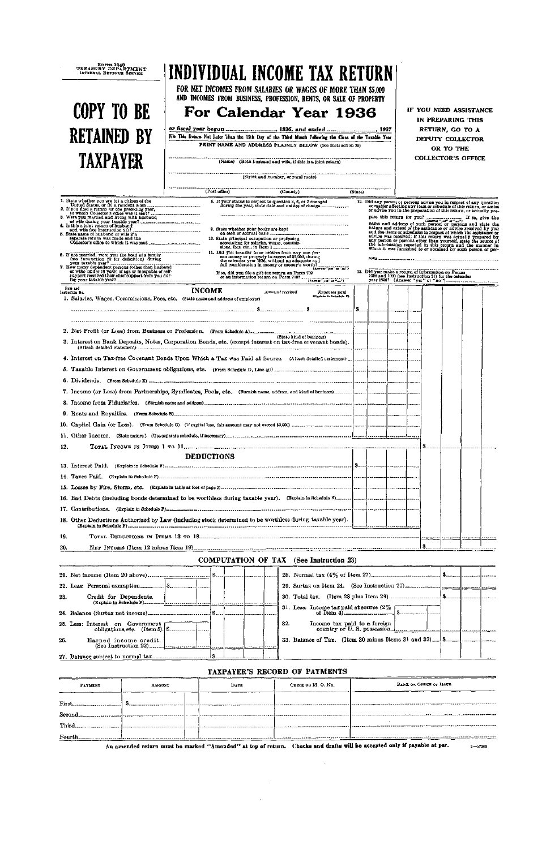| Form 1040<br>TREASURY DEPARTMENT<br>INTERNAL REVENUE SERVICE                                                                                                                     | INDIVIDUAL INCOME TAX RETURN                                                                            |                                                                                                    | FOR NET INCOMES FROM SALARIES OR WAGES OF MORE THAN \$5,000                                                                                                                                                                                                                                                                                                                                                                                                                                    |         |                                                   |  |                                                     |           |                                                                                                                                                                                                 |  |
|----------------------------------------------------------------------------------------------------------------------------------------------------------------------------------|---------------------------------------------------------------------------------------------------------|----------------------------------------------------------------------------------------------------|------------------------------------------------------------------------------------------------------------------------------------------------------------------------------------------------------------------------------------------------------------------------------------------------------------------------------------------------------------------------------------------------------------------------------------------------------------------------------------------------|---------|---------------------------------------------------|--|-----------------------------------------------------|-----------|-------------------------------------------------------------------------------------------------------------------------------------------------------------------------------------------------|--|
| <b>COPY TO BE</b><br><b>RETAINED BY</b>                                                                                                                                          | File This Return Not Later Than the 15th Day of the Third Month Fellowing the Close of the Taxable Year |                                                                                                    | AND INCOMES FROM BUSINESS, PROFESSION, RENTS, OR SALE OF PROPERTY<br>For Calendar Year 1936                                                                                                                                                                                                                                                                                                                                                                                                    |         |                                                   |  |                                                     |           | IF YOU NEED ASSISTANCE<br>IN PREPARING THIS<br>RETURN, GO TO A<br>DEPUTY COLLECTOR                                                                                                              |  |
|                                                                                                                                                                                  |                                                                                                         |                                                                                                    | PRINT NAME AND ADDRESS PLAINLY BELOW (See Instruction 28)                                                                                                                                                                                                                                                                                                                                                                                                                                      |         |                                                   |  |                                                     | OR TO THE |                                                                                                                                                                                                 |  |
| <b>TAXPAYER</b>                                                                                                                                                                  |                                                                                                         |                                                                                                    | (Name) (Both busband and wife, if this is a joint return)                                                                                                                                                                                                                                                                                                                                                                                                                                      |         |                                                   |  |                                                     |           | <b>COLLECTOR'S OFFICE</b>                                                                                                                                                                       |  |
|                                                                                                                                                                                  |                                                                                                         |                                                                                                    |                                                                                                                                                                                                                                                                                                                                                                                                                                                                                                |         |                                                   |  |                                                     |           |                                                                                                                                                                                                 |  |
|                                                                                                                                                                                  |                                                                                                         | (Street and number, or rural route)                                                                |                                                                                                                                                                                                                                                                                                                                                                                                                                                                                                |         |                                                   |  |                                                     |           |                                                                                                                                                                                                 |  |
|                                                                                                                                                                                  | (Post office)                                                                                           |                                                                                                    | (Country)                                                                                                                                                                                                                                                                                                                                                                                                                                                                                      | (State) |                                                   |  |                                                     |           |                                                                                                                                                                                                 |  |
| 2. If you filed a return for the preceding year,                                                                                                                                 |                                                                                                         |                                                                                                    | 8. If your status in respect to question 3, 6, or 7 changed<br>during the year, state date and nature of change                                                                                                                                                                                                                                                                                                                                                                                |         |                                                   |  |                                                     |           | 12. Did any person or persons advise you in respect of any question<br>or matter affecting any item or schedule of this return, or assist                                                       |  |
|                                                                                                                                                                                  |                                                                                                         |                                                                                                    |                                                                                                                                                                                                                                                                                                                                                                                                                                                                                                |         |                                                   |  |                                                     |           | or advise you in the preparation of this return, or actually pre-                                                                                                                               |  |
| 3. Were you married and living with hashand<br>distribution with desired and living your taxable year?<br>4. Is this a joint return of husband<br>and wife (see Instruction 21)? |                                                                                                         | 9. State whether your books are kept                                                               |                                                                                                                                                                                                                                                                                                                                                                                                                                                                                                |         |                                                   |  |                                                     |           |                                                                                                                                                                                                 |  |
| 5. State name of husband or wife if a<br>separate return was made and the                                                                                                        |                                                                                                         | 10. State principal occupation or profession                                                       |                                                                                                                                                                                                                                                                                                                                                                                                                                                                                                |         |                                                   |  |                                                     |           | and the items or schedules in respect of which the assistance or<br>advice was received; if this return was actually prepared by any person or persons other than yourself, state the source of |  |
|                                                                                                                                                                                  | ----------------------                                                                                  | accounting for salaries, wages, commis-<br>11. Did you transfer to or receive from any one per-    |                                                                                                                                                                                                                                                                                                                                                                                                                                                                                                |         |                                                   |  |                                                     |           | the information reported in this return and the manner in which it was furnished to or obtained by such person or per-                                                                          |  |
| 6. If not married, were you the bead of a hamily<br>seen Instruction 22 for defluition) during<br>your tarable year?<br>7. How many dependent persons (other than husband        |                                                                                                         | son money or property in excess of \$5,000, during the calendar year 1936, without an adequate and |                                                                                                                                                                                                                                                                                                                                                                                                                                                                                                |         |                                                   |  |                                                     |           |                                                                                                                                                                                                 |  |
| or wife) under 18 years of age or incapable of self-                                                                                                                             |                                                                                                         |                                                                                                    |                                                                                                                                                                                                                                                                                                                                                                                                                                                                                                |         | 13. Did you make a return of information on Forms |  |                                                     |           |                                                                                                                                                                                                 |  |
|                                                                                                                                                                                  |                                                                                                         |                                                                                                    | If so, did you file a gift tax return on Form 709<br>or an information return on Form 7107                                                                                                                                                                                                                                                                                                                                                                                                     |         |                                                   |  | 1096 and 1099 (see Instruction 31) for the calendar |           |                                                                                                                                                                                                 |  |
| <b>Hem and</b><br>lasbuction No.                                                                                                                                                 | <b>INCOME</b>                                                                                           |                                                                                                    | Amount received<br>Expenses paid<br>(Esplain in Schoolule F)                                                                                                                                                                                                                                                                                                                                                                                                                                   |         |                                                   |  |                                                     |           |                                                                                                                                                                                                 |  |
| 1. Salaries, Wages, Commissions, Fees, etc. (State name and address of employer)                                                                                                 |                                                                                                         |                                                                                                    |                                                                                                                                                                                                                                                                                                                                                                                                                                                                                                |         |                                                   |  |                                                     |           |                                                                                                                                                                                                 |  |
|                                                                                                                                                                                  |                                                                                                         |                                                                                                    |                                                                                                                                                                                                                                                                                                                                                                                                                                                                                                |         |                                                   |  |                                                     |           |                                                                                                                                                                                                 |  |
|                                                                                                                                                                                  |                                                                                                         |                                                                                                    |                                                                                                                                                                                                                                                                                                                                                                                                                                                                                                |         |                                                   |  |                                                     |           |                                                                                                                                                                                                 |  |
|                                                                                                                                                                                  |                                                                                                         |                                                                                                    | (State kind of business)                                                                                                                                                                                                                                                                                                                                                                                                                                                                       |         |                                                   |  |                                                     |           |                                                                                                                                                                                                 |  |
| 3. Interest on Bank Deposits, Notes, Corporation Bonds, etc. (except interest on tax-free covenant bonds).                                                                       |                                                                                                         |                                                                                                    |                                                                                                                                                                                                                                                                                                                                                                                                                                                                                                |         |                                                   |  |                                                     |           |                                                                                                                                                                                                 |  |
|                                                                                                                                                                                  |                                                                                                         |                                                                                                    |                                                                                                                                                                                                                                                                                                                                                                                                                                                                                                |         |                                                   |  |                                                     |           |                                                                                                                                                                                                 |  |
|                                                                                                                                                                                  |                                                                                                         |                                                                                                    |                                                                                                                                                                                                                                                                                                                                                                                                                                                                                                |         |                                                   |  |                                                     |           |                                                                                                                                                                                                 |  |
|                                                                                                                                                                                  |                                                                                                         |                                                                                                    |                                                                                                                                                                                                                                                                                                                                                                                                                                                                                                |         |                                                   |  |                                                     |           |                                                                                                                                                                                                 |  |
|                                                                                                                                                                                  |                                                                                                         |                                                                                                    |                                                                                                                                                                                                                                                                                                                                                                                                                                                                                                |         |                                                   |  |                                                     |           |                                                                                                                                                                                                 |  |
|                                                                                                                                                                                  |                                                                                                         |                                                                                                    |                                                                                                                                                                                                                                                                                                                                                                                                                                                                                                |         |                                                   |  |                                                     |           |                                                                                                                                                                                                 |  |
|                                                                                                                                                                                  |                                                                                                         |                                                                                                    |                                                                                                                                                                                                                                                                                                                                                                                                                                                                                                |         |                                                   |  |                                                     |           |                                                                                                                                                                                                 |  |
|                                                                                                                                                                                  |                                                                                                         |                                                                                                    |                                                                                                                                                                                                                                                                                                                                                                                                                                                                                                |         |                                                   |  |                                                     |           |                                                                                                                                                                                                 |  |
|                                                                                                                                                                                  |                                                                                                         |                                                                                                    |                                                                                                                                                                                                                                                                                                                                                                                                                                                                                                |         |                                                   |  |                                                     |           |                                                                                                                                                                                                 |  |
|                                                                                                                                                                                  |                                                                                                         |                                                                                                    |                                                                                                                                                                                                                                                                                                                                                                                                                                                                                                |         |                                                   |  |                                                     |           |                                                                                                                                                                                                 |  |
| 12.                                                                                                                                                                              |                                                                                                         |                                                                                                    |                                                                                                                                                                                                                                                                                                                                                                                                                                                                                                |         |                                                   |  |                                                     |           |                                                                                                                                                                                                 |  |
|                                                                                                                                                                                  | <b>DEDUCTIONS</b>                                                                                       |                                                                                                    |                                                                                                                                                                                                                                                                                                                                                                                                                                                                                                |         |                                                   |  |                                                     |           |                                                                                                                                                                                                 |  |
|                                                                                                                                                                                  |                                                                                                         |                                                                                                    |                                                                                                                                                                                                                                                                                                                                                                                                                                                                                                |         |                                                   |  |                                                     |           |                                                                                                                                                                                                 |  |
|                                                                                                                                                                                  |                                                                                                         |                                                                                                    |                                                                                                                                                                                                                                                                                                                                                                                                                                                                                                |         |                                                   |  |                                                     |           |                                                                                                                                                                                                 |  |
|                                                                                                                                                                                  |                                                                                                         |                                                                                                    |                                                                                                                                                                                                                                                                                                                                                                                                                                                                                                |         |                                                   |  |                                                     |           |                                                                                                                                                                                                 |  |
|                                                                                                                                                                                  |                                                                                                         |                                                                                                    |                                                                                                                                                                                                                                                                                                                                                                                                                                                                                                |         |                                                   |  |                                                     |           |                                                                                                                                                                                                 |  |
| 18. Other Deductions Authorized by Law (including stock determined to be worthless during taxable year).                                                                         |                                                                                                         |                                                                                                    |                                                                                                                                                                                                                                                                                                                                                                                                                                                                                                |         |                                                   |  |                                                     |           |                                                                                                                                                                                                 |  |
| 19.                                                                                                                                                                              |                                                                                                         |                                                                                                    |                                                                                                                                                                                                                                                                                                                                                                                                                                                                                                |         |                                                   |  |                                                     |           |                                                                                                                                                                                                 |  |
| 20.                                                                                                                                                                              |                                                                                                         |                                                                                                    |                                                                                                                                                                                                                                                                                                                                                                                                                                                                                                |         |                                                   |  |                                                     |           |                                                                                                                                                                                                 |  |
|                                                                                                                                                                                  |                                                                                                         |                                                                                                    | <b>COMPUTATION OF TAX</b> (See Instruction 23)                                                                                                                                                                                                                                                                                                                                                                                                                                                 |         |                                                   |  |                                                     |           |                                                                                                                                                                                                 |  |
|                                                                                                                                                                                  |                                                                                                         |                                                                                                    |                                                                                                                                                                                                                                                                                                                                                                                                                                                                                                |         |                                                   |  |                                                     |           |                                                                                                                                                                                                 |  |
|                                                                                                                                                                                  |                                                                                                         |                                                                                                    |                                                                                                                                                                                                                                                                                                                                                                                                                                                                                                |         |                                                   |  |                                                     |           |                                                                                                                                                                                                 |  |
|                                                                                                                                                                                  |                                                                                                         |                                                                                                    |                                                                                                                                                                                                                                                                                                                                                                                                                                                                                                |         |                                                   |  |                                                     |           |                                                                                                                                                                                                 |  |
| Credit for Dependents,<br>23.                                                                                                                                                    |                                                                                                         |                                                                                                    |                                                                                                                                                                                                                                                                                                                                                                                                                                                                                                |         |                                                   |  |                                                     |           |                                                                                                                                                                                                 |  |
|                                                                                                                                                                                  |                                                                                                         |                                                                                                    | 31. Less: Income tax paid at source $(2\% \text{ cm} \cdot \text{ cm} \cdot \text{ cm} \cdot \text{ cm} \cdot \text{ cm} \cdot \text{ cm} \cdot \text{ cm} \cdot \text{ cm} \cdot \text{ cm} \cdot \text{ cm} \cdot \text{ cm} \cdot \text{ cm} \cdot \text{ cm} \cdot \text{ cm} \cdot \text{ cm} \cdot \text{ cm} \cdot \text{ cm} \cdot \text{ cm} \cdot \text{ cm} \cdot \text{ cm} \cdot \text{ cm} \cdot \text{ cm} \cdot \text{ cm} \cdot \text{ cm} \cdot \text{ cm} \cdot \text{ cm}$ |         |                                                   |  |                                                     |           |                                                                                                                                                                                                 |  |
|                                                                                                                                                                                  |                                                                                                         |                                                                                                    | 32.<br>Income tax paid to a foreign                                                                                                                                                                                                                                                                                                                                                                                                                                                            |         |                                                   |  |                                                     |           |                                                                                                                                                                                                 |  |
| 25. Less: Interest on Government [1995]                                                                                                                                          |                                                                                                         |                                                                                                    |                                                                                                                                                                                                                                                                                                                                                                                                                                                                                                |         |                                                   |  |                                                     |           |                                                                                                                                                                                                 |  |
| Earned income credit.<br>26.                                                                                                                                                     | (See Instruction 22)                                                                                    |                                                                                                    |                                                                                                                                                                                                                                                                                                                                                                                                                                                                                                |         |                                                   |  |                                                     |           |                                                                                                                                                                                                 |  |
|                                                                                                                                                                                  |                                                                                                         |                                                                                                    |                                                                                                                                                                                                                                                                                                                                                                                                                                                                                                |         |                                                   |  |                                                     |           |                                                                                                                                                                                                 |  |
|                                                                                                                                                                                  |                                                                                                         |                                                                                                    |                                                                                                                                                                                                                                                                                                                                                                                                                                                                                                |         |                                                   |  |                                                     |           |                                                                                                                                                                                                 |  |

 $\sim$ 

# **TAXPAYER'S RECORD OF PAYMENTS**

| <b>PAYMENT</b>                                                                                                | <b>AMOUNT</b> | DATE | CHECK OR M. O. NO. | BANE OR OFFICE OF ISSUE                                                                                                                |  |  |  |  |
|---------------------------------------------------------------------------------------------------------------|---------------|------|--------------------|----------------------------------------------------------------------------------------------------------------------------------------|--|--|--|--|
|                                                                                                               |               |      |                    |                                                                                                                                        |  |  |  |  |
| First and the same of the same of the same of the same of the same of the same of the same of the same of the |               |      |                    |                                                                                                                                        |  |  |  |  |
| Second.                                                                                                       |               |      |                    |                                                                                                                                        |  |  |  |  |
| Third                                                                                                         |               |      |                    |                                                                                                                                        |  |  |  |  |
| <b>Fourth</b>                                                                                                 |               |      |                    |                                                                                                                                        |  |  |  |  |
|                                                                                                               |               |      |                    | An amended return must be marked "Amended" at top of return. Checks and drafts will be accepted only if payable at par.<br>$2 - 17202$ |  |  |  |  |

**An amended return must be marked "Amended" at top of return. Checks and drafts will be accepted only if payable at par.** 

 $\boldsymbol{\cdot}$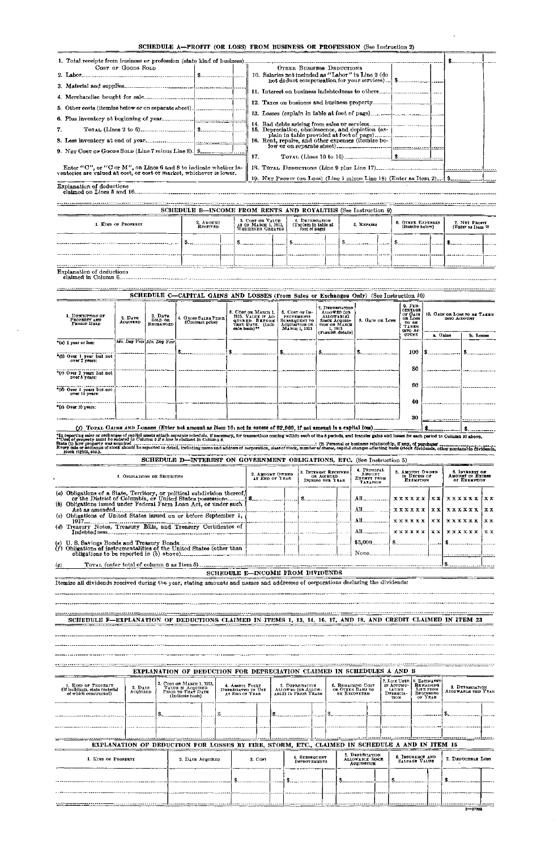# SCHEDULE A—PROFIT (OR LOSS) FROM BUSINESS OR PROFESSION (See Instruction 2)

 $\bar{\beta}$ 

| 1. Total receipts from business or profession (state kind of business).                                                                                                                                                                                                                                                                                                                                                                                                                                                      | COST OF GOODS SOLD  |                                                                                                                                     |  |                                                                                         |  | 10. Salaries not included as "Labor" in Line 2 (do         |  |                                                         | OTHER BUSINESS DEDUCTIONS                             |  |                                                   |  |                                                     |           | $\mathbf{S}$ <sub>-------------</sub>        |                                                    |
|------------------------------------------------------------------------------------------------------------------------------------------------------------------------------------------------------------------------------------------------------------------------------------------------------------------------------------------------------------------------------------------------------------------------------------------------------------------------------------------------------------------------------|---------------------|-------------------------------------------------------------------------------------------------------------------------------------|--|-----------------------------------------------------------------------------------------|--|------------------------------------------------------------|--|---------------------------------------------------------|-------------------------------------------------------|--|---------------------------------------------------|--|-----------------------------------------------------|-----------|----------------------------------------------|----------------------------------------------------|
|                                                                                                                                                                                                                                                                                                                                                                                                                                                                                                                              |                     |                                                                                                                                     |  |                                                                                         |  |                                                            |  |                                                         |                                                       |  |                                                   |  |                                                     |           |                                              |                                                    |
|                                                                                                                                                                                                                                                                                                                                                                                                                                                                                                                              |                     |                                                                                                                                     |  |                                                                                         |  |                                                            |  |                                                         |                                                       |  |                                                   |  |                                                     |           |                                              |                                                    |
| 5. Other costs (itemize below or on separate sheet)_[____________________________                                                                                                                                                                                                                                                                                                                                                                                                                                            |                     |                                                                                                                                     |  |                                                                                         |  |                                                            |  |                                                         |                                                       |  |                                                   |  |                                                     |           |                                              |                                                    |
|                                                                                                                                                                                                                                                                                                                                                                                                                                                                                                                              |                     |                                                                                                                                     |  |                                                                                         |  |                                                            |  |                                                         |                                                       |  |                                                   |  |                                                     |           |                                              |                                                    |
| 7.                                                                                                                                                                                                                                                                                                                                                                                                                                                                                                                           |                     |                                                                                                                                     |  |                                                                                         |  | 15. Depreciation, obsolescence, and depletion (ex-         |  |                                                         |                                                       |  |                                                   |  |                                                     |           |                                              |                                                    |
|                                                                                                                                                                                                                                                                                                                                                                                                                                                                                                                              |                     |                                                                                                                                     |  |                                                                                         |  | 16. Rent, repairs, and other expenses (itemize be-         |  |                                                         |                                                       |  |                                                   |  |                                                     |           |                                              |                                                    |
|                                                                                                                                                                                                                                                                                                                                                                                                                                                                                                                              |                     |                                                                                                                                     |  |                                                                                         |  |                                                            |  |                                                         |                                                       |  |                                                   |  |                                                     |           |                                              |                                                    |
|                                                                                                                                                                                                                                                                                                                                                                                                                                                                                                                              |                     | 17.                                                                                                                                 |  |                                                                                         |  |                                                            |  |                                                         |                                                       |  |                                                   |  |                                                     |           |                                              |                                                    |
|                                                                                                                                                                                                                                                                                                                                                                                                                                                                                                                              |                     | Enter "C", or "C or M", on Lines 6 and 8 to indicate whether inventories are valued at cost, or cost or market, whichever is lower. |  |                                                                                         |  |                                                            |  |                                                         |                                                       |  |                                                   |  |                                                     |           |                                              |                                                    |
| Explanation of deductions<br>claimed on Lines 5 and 16. 2000 . 2000 . 2000 . 2000 . 2000 . 2000 . 2000 . 2000 . 2000 . 2000 . 2000 . 2000 . 2000 . 2000 . 2000 . 2000 . 2000 . 2000 . 2000 . 2000 . 2000 . 2000 . 2000 . 2000 . 2000 . 2000 . 2000 . 2000 .                                                                                                                                                                                                                                                                  |                     |                                                                                                                                     |  |                                                                                         |  |                                                            |  |                                                         |                                                       |  |                                                   |  |                                                     |           |                                              |                                                    |
|                                                                                                                                                                                                                                                                                                                                                                                                                                                                                                                              |                     |                                                                                                                                     |  | SCHEDULE B-INCOME FROM RENTS AND ROYALTIES (See Instruction 9)                          |  |                                                            |  |                                                         |                                                       |  |                                                   |  |                                                     |           |                                              |                                                    |
|                                                                                                                                                                                                                                                                                                                                                                                                                                                                                                                              | 1. KIND OF PROPERTY |                                                                                                                                     |  | 2. Аморыт                                                                               |  | 3. COST OB VALUE<br>AS OF MABCH 1, 1913,                   |  | 4. DEPRECIATION<br>(Explain in table at                 |                                                       |  | 5. REPAIRS                                        |  | 6. OTHER EXPENSES                                   |           |                                              | 7. NET PROFIT                                      |
|                                                                                                                                                                                                                                                                                                                                                                                                                                                                                                                              |                     |                                                                                                                                     |  | RECEIVED                                                                                |  | WHICHEVER GREATER                                          |  | foot of page)                                           |                                                       |  |                                                   |  | (Itemize below)                                     |           |                                              | (Enter as Itam 9)                                  |
|                                                                                                                                                                                                                                                                                                                                                                                                                                                                                                                              |                     |                                                                                                                                     |  | $ s_1 $ s $ s_2 $                                                                       |  |                                                            |  |                                                         |                                                       |  | $\frac{1}{2}$                                     |  | $\frac{1}{2}$                                       |           | \$                                           |                                                    |
|                                                                                                                                                                                                                                                                                                                                                                                                                                                                                                                              |                     |                                                                                                                                     |  |                                                                                         |  |                                                            |  |                                                         |                                                       |  |                                                   |  |                                                     |           |                                              |                                                    |
|                                                                                                                                                                                                                                                                                                                                                                                                                                                                                                                              |                     |                                                                                                                                     |  |                                                                                         |  |                                                            |  |                                                         |                                                       |  |                                                   |  |                                                     |           |                                              |                                                    |
| <b>Explanation of deductions</b>                                                                                                                                                                                                                                                                                                                                                                                                                                                                                             |                     |                                                                                                                                     |  |                                                                                         |  |                                                            |  |                                                         |                                                       |  |                                                   |  |                                                     |           |                                              |                                                    |
|                                                                                                                                                                                                                                                                                                                                                                                                                                                                                                                              |                     |                                                                                                                                     |  | SCHEDULE C-CAPITAL GAINS AND LOSSES (From Sales or Exchanges Only) (See Instruction 10) |  |                                                            |  |                                                         |                                                       |  |                                                   |  |                                                     |           |                                              |                                                    |
|                                                                                                                                                                                                                                                                                                                                                                                                                                                                                                                              |                     |                                                                                                                                     |  |                                                                                         |  |                                                            |  |                                                         |                                                       |  |                                                   |  | 9. PER-                                             |           |                                              |                                                    |
| 1. DESCRIPTION OF                                                                                                                                                                                                                                                                                                                                                                                                                                                                                                            | 2. DATE             | 3. DATE                                                                                                                             |  | 4. GROSS SALES PRICE                                                                    |  | 5. COST OR MARCH I.<br>1913, VALUE IF AC-                  |  | 6. Cost or IM-<br><b>PROVEMENTS</b>                     | 7. DEPRECIATION<br>ALLOWED (OR<br>ALLOWABLE)          |  |                                                   |  | CENTAGE<br>of Gain<br>OR LOSS                       |           | 10. GAIN OR LOSS TO BE TAKEN<br>INTO ACCOUNT |                                                    |
| PROPERTY AND<br><b>FERIOD HELD</b>                                                                                                                                                                                                                                                                                                                                                                                                                                                                                           | <b>ACOUTRED</b>     | SOLD OR<br><b>EXCHANGED</b>                                                                                                         |  | (Contract price)                                                                        |  | <b>QUIRED BEFORE</b><br>THAT DATE. (Indi-<br>cate basis)** |  | <b>SUBSEQUENT TO</b><br>ACQUISITION OR<br>MABGH 1, 1913 | <b>SINCE ACQUISI-</b><br>TION OR MARCH<br>1, 1913     |  | 8. CAR OB LOSS                                    |  | TO BE<br>TAREN                                      |           |                                              |                                                    |
|                                                                                                                                                                                                                                                                                                                                                                                                                                                                                                                              |                     |                                                                                                                                     |  |                                                                                         |  |                                                            |  |                                                         | (Furnish detalls)                                     |  |                                                   |  | into Ac-<br>COUNT                                   | a. Gains  |                                              | b. Losses                                          |
| "(a) I year or less:                                                                                                                                                                                                                                                                                                                                                                                                                                                                                                         |                     | Mo. Day Year Mo. Day Year                                                                                                           |  |                                                                                         |  |                                                            |  |                                                         |                                                       |  |                                                   |  |                                                     |           |                                              |                                                    |
| *(5) Over 1 year but not<br>over 2 years:                                                                                                                                                                                                                                                                                                                                                                                                                                                                                    |                     |                                                                                                                                     |  |                                                                                         |  |                                                            |  |                                                         |                                                       |  |                                                   |  |                                                     |           | $100$   \$                                   |                                                    |
| "(c) Over 2 years but not                                                                                                                                                                                                                                                                                                                                                                                                                                                                                                    |                     |                                                                                                                                     |  |                                                                                         |  |                                                            |  |                                                         |                                                       |  |                                                   |  | 80                                                  |           |                                              |                                                    |
| over 8 years:                                                                                                                                                                                                                                                                                                                                                                                                                                                                                                                |                     |                                                                                                                                     |  |                                                                                         |  |                                                            |  |                                                         |                                                       |  |                                                   |  |                                                     |           |                                              |                                                    |
| "(d) Over 5 years but not<br>over 10 years:                                                                                                                                                                                                                                                                                                                                                                                                                                                                                  |                     |                                                                                                                                     |  |                                                                                         |  |                                                            |  |                                                         |                                                       |  |                                                   |  | 60                                                  |           |                                              |                                                    |
| ------------------- <i>-------</i> -<br>*(c) Over 10 years:                                                                                                                                                                                                                                                                                                                                                                                                                                                                  |                     |                                                                                                                                     |  |                                                                                         |  |                                                            |  |                                                         |                                                       |  |                                                   |  | 40                                                  |           |                                              |                                                    |
|                                                                                                                                                                                                                                                                                                                                                                                                                                                                                                                              |                     |                                                                                                                                     |  |                                                                                         |  |                                                            |  |                                                         |                                                       |  |                                                   |  | 30                                                  |           |                                              |                                                    |
|                                                                                                                                                                                                                                                                                                                                                                                                                                                                                                                              |                     |                                                                                                                                     |  |                                                                                         |  |                                                            |  |                                                         |                                                       |  |                                                   |  |                                                     |           |                                              |                                                    |
|                                                                                                                                                                                                                                                                                                                                                                                                                                                                                                                              |                     |                                                                                                                                     |  |                                                                                         |  |                                                            |  |                                                         |                                                       |  |                                                   |  |                                                     |           |                                              |                                                    |
| (f) TOTAL GAINS AND LOSSES (Enter net amount as Item 10; not in excess of \$2,000, if net amount is a capital loss).                                                                                                                                                                                                                                                                                                                                                                                                         |                     |                                                                                                                                     |  |                                                                                         |  |                                                            |  |                                                         |                                                       |  |                                                   |  |                                                     |           |                                              |                                                    |
| stock rights, etc.).                                                                                                                                                                                                                                                                                                                                                                                                                                                                                                         |                     |                                                                                                                                     |  |                                                                                         |  |                                                            |  |                                                         |                                                       |  |                                                   |  |                                                     |           |                                              |                                                    |
|                                                                                                                                                                                                                                                                                                                                                                                                                                                                                                                              |                     |                                                                                                                                     |  | SCHEDULE D-INTEREST ON GOVERNMENT OBLIGATIONS, ETC. (See Instruction 5)                 |  |                                                            |  |                                                         |                                                       |  |                                                   |  |                                                     |           |                                              |                                                    |
|                                                                                                                                                                                                                                                                                                                                                                                                                                                                                                                              |                     | 1. OBLIGATIONS OR SECURITIES                                                                                                        |  |                                                                                         |  | 2. AMOUNT OWNED<br>AT END OF YEAR                          |  |                                                         | 3. INTEREST RECEIVED<br>OR ACCRUED<br>DURING THE YEAR |  | 4. PRINCIPAL<br>AMOUNT<br>EXEMPT FROM<br>TAXATION |  | 5. AMOUNT OWNED<br>IN EXCESS OF<br><b>EXEMPTION</b> |           |                                              |                                                    |
|                                                                                                                                                                                                                                                                                                                                                                                                                                                                                                                              |                     |                                                                                                                                     |  |                                                                                         |  |                                                            |  |                                                         |                                                       |  |                                                   |  |                                                     |           |                                              |                                                    |
|                                                                                                                                                                                                                                                                                                                                                                                                                                                                                                                              |                     |                                                                                                                                     |  |                                                                                         |  |                                                            |  |                                                         |                                                       |  | $\text{All}$ <sub>------------</sub>              |  | xxxxxx x x x                                        |           | xxxxxx Ixx                                   | 6. INTEREST ON<br>AMOUNT IN EXCRSS<br>OF EXEMPTION |
|                                                                                                                                                                                                                                                                                                                                                                                                                                                                                                                              |                     |                                                                                                                                     |  |                                                                                         |  |                                                            |  |                                                         |                                                       |  | All_______________                                |  | <b>xxxxxx</b>                                       | <b>XX</b> | xxxxxx   xx                                  |                                                    |
|                                                                                                                                                                                                                                                                                                                                                                                                                                                                                                                              |                     |                                                                                                                                     |  |                                                                                         |  |                                                            |  |                                                         |                                                       |  | All                                               |  | <b>xxxxxx</b>                                       | xх        | <b>xxxxxx</b>                                |                                                    |
|                                                                                                                                                                                                                                                                                                                                                                                                                                                                                                                              |                     |                                                                                                                                     |  |                                                                                         |  |                                                            |  |                                                         |                                                       |  |                                                   |  | xxxxxx  xx                                          |           | xxxxxx xx                                    |                                                    |
|                                                                                                                                                                                                                                                                                                                                                                                                                                                                                                                              |                     |                                                                                                                                     |  |                                                                                         |  |                                                            |  |                                                         |                                                       |  |                                                   |  |                                                     |           |                                              |                                                    |
|                                                                                                                                                                                                                                                                                                                                                                                                                                                                                                                              |                     |                                                                                                                                     |  |                                                                                         |  |                                                            |  |                                                         |                                                       |  |                                                   |  |                                                     |           |                                              |                                                    |
|                                                                                                                                                                                                                                                                                                                                                                                                                                                                                                                              |                     |                                                                                                                                     |  |                                                                                         |  | SCHEDULE E-INCOME FROM DIVIDENDS                           |  |                                                         |                                                       |  |                                                   |  |                                                     |           |                                              |                                                    |
|                                                                                                                                                                                                                                                                                                                                                                                                                                                                                                                              |                     |                                                                                                                                     |  |                                                                                         |  |                                                            |  |                                                         |                                                       |  |                                                   |  |                                                     |           |                                              |                                                    |
|                                                                                                                                                                                                                                                                                                                                                                                                                                                                                                                              |                     |                                                                                                                                     |  |                                                                                         |  |                                                            |  |                                                         |                                                       |  |                                                   |  |                                                     |           |                                              |                                                    |
| *In reporting sales or erchanges of capital assets attach separate schedule, if necessary, for transsetions coming within each of the 5 periods, and transfer gains and losses for each period to Column 10 above.<br>"Cost of pr<br>(c) Obligations of United States issued on or before September 1,<br>(d) Treasury Notes, Treasury Bills, and Treasury Certificates of<br>(1)<br>(a)<br>Itemize all dividends received during the year, stating amounts and names and addresses of corporations declaring the dividends: |                     |                                                                                                                                     |  |                                                                                         |  |                                                            |  |                                                         |                                                       |  |                                                   |  |                                                     |           |                                              |                                                    |
| SCHEDULE F-EXPLANATION OF DEDUCTIONS CLAIMED IN ITEMS 1, 13, 14, 16, 17, AND 18, AND CREDIT CLAIMED IN ITEM 23                                                                                                                                                                                                                                                                                                                                                                                                               |                     |                                                                                                                                     |  |                                                                                         |  |                                                            |  |                                                         |                                                       |  |                                                   |  |                                                     |           |                                              | xx                                                 |

|                                                                               |                     | EXPLANATION OF DEDUCTION FOR DEPRECIATION CLAIMED IN SCHEDULES A AND B                                                                         |                                                         |         |                                                              |                                      |  |                                                        |                                                          |                                                           |                                                                        |                                        |             |
|-------------------------------------------------------------------------------|---------------------|------------------------------------------------------------------------------------------------------------------------------------------------|---------------------------------------------------------|---------|--------------------------------------------------------------|--------------------------------------|--|--------------------------------------------------------|----------------------------------------------------------|-----------------------------------------------------------|------------------------------------------------------------------------|----------------------------------------|-------------|
| 1. KIND OF PROPERTY<br>(If buildings, state material<br>of which constructed) | 2. DATE<br>ACQUIRED | 3. COST OR MARCH 1, 1913,<br>VALUE IF ACQUIRED<br>PRIOR TO TUAT DATE<br>(Indicate basis)                                                       | 4. ASSRTS FULLY<br>DEFRECIATED IN USE<br>AT END OF YEAR |         | 5. DEPREGATION<br>ALLOWED (OR ALLOW-<br>ABLE) IN PRIOR YEARS |                                      |  | 6. REMAINING COST<br>OR OTHER BASIS TO<br>BE RECOVERED |                                                          | 7. Life Used<br>IN ACCUMU-<br>LATING<br>DEFRECIA-<br>TION | <b>[8. ESTIMATED</b><br>REMAINING<br>LIFE FROM<br>BECINNING<br>OF YEAR | 9. DEPRECIATION<br>ALLOWABLE THIS YEAR |             |
|                                                                               |                     |                                                                                                                                                |                                                         |         |                                                              |                                      |  |                                                        |                                                          |                                                           |                                                                        |                                        |             |
|                                                                               |                     | EXPLANATION OF DEDUCTION FOR LOSSES BY FIRE, STORM, ETC., CLAIMED IN SCHEDULE A AND IN ITEM 15                                                 |                                                         |         |                                                              |                                      |  |                                                        |                                                          |                                                           |                                                                        |                                        |             |
| 1. KIND OF PROPERTY                                                           |                     | 2. DATE ACQUIRED                                                                                                                               |                                                         | 3. Cost |                                                              | 4. SUBSEQUENT<br><b>IMPROVEMENTS</b> |  |                                                        | 5. DEPRECIATION<br><b>ALLOWABLE SINCE</b><br>ACQUISITION |                                                           | 6. INSUBANCE AND<br><b>SALVAGE VALUE</b>                               | 7. DEDUCTIBLE LOSS                     |             |
|                                                                               |                     |                                                                                                                                                |                                                         |         |                                                              |                                      |  |                                                        |                                                          |                                                           |                                                                        |                                        |             |
|                                                                               |                     | <sub>▘</sub> ▀▝▆▀▚▆▆▖▚▛▚ <sup>▟</sup> ▜▘▘▀ <sup>▟</sup> ▚▎▃▖▟▟▆▆▆▖▛ <del>▆▆▀▛▆▆▜</del> ▛▛▛▆▗▃▟▟▆▃▆▟▌▖▜▊▙▗▃▖▖▖▖▟▗▚▙▃▖▄▎▄▖▖▄▄▕▖▖▄▄▖▖▃▃▖▖▖▖▖▙▟▖▖▃ |                                                         |         |                                                              |                                      |  |                                                        |                                                          |                                                           |                                                                        |                                        | $2 - 17202$ |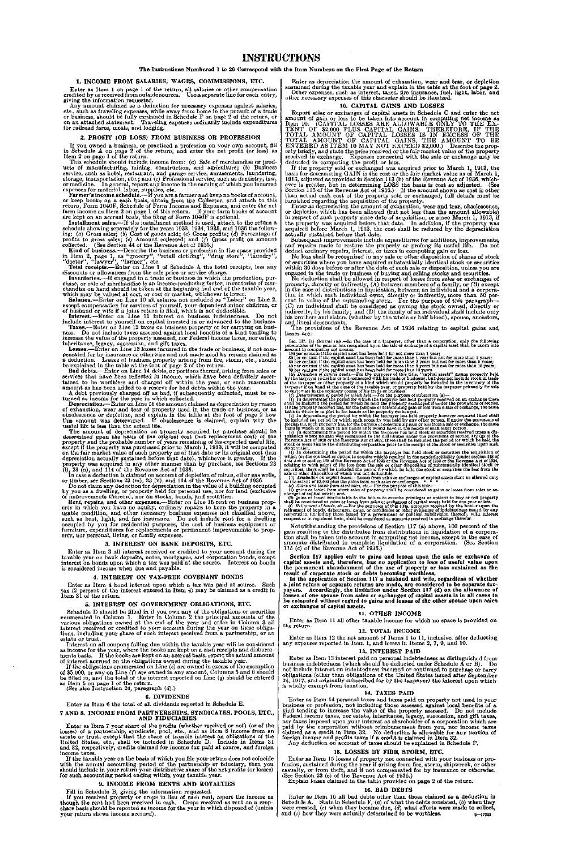## The Instructions Numbered 1 to 20 Correspond with the Item Numbers on the First Page of the Return

Enter as Item 1 on page 1 of the return, all salaries or other compensation credited by or received from outside sources. Use a separate line for each entry, giving the information requested.

Any amount claimed as a deduction for necessary expenses against salaries etc., such as traveling expenses, while away from home in the pursuit of a trade or business, should be fully explained in Schedule F on page 2 of the return, or on an attached statement. Traveling expenses ordinarily incl

#### 1. INCOME FROM SALARIES, WAGES, COMMISSIONS, ETC.

This schedule should include income from: (a) Sale of merchandise or products of manufacturing, mining, construction, and agriculture; (b) Business service, such as hotel, restaurant, and garage service, amusements, laundering, storage, transportation, etc.; and  $(c)$  Professional service, such

Farmer's income schedule.—If you are a farmer and keep no books of account,<br>or keep books on a cash basis, obtain from the Collector, and attach to this<br>return, Form 1040F, Schedule of Farm Income and Expenses, and enter

Installment sales.—If the installment method is used, attach to the return a schedulo showing separately for the years 1933, 1934, 1935, and 1936 the following is (a) Gross sales; (b) Cost of goods sold; (c) derosits; (d)

#### 2. PROFIT (OR LOSS) FROM BUSINESS OR PROFESSION

If you owned a business, or practiced a profession on your own account, fill in Schedule A *on* page 2 of the return, and enter the net profit (or loss) as Item 2 on page 1 of the return.

Kind of business.—Describe the business or profession in the space provided in Item 2, page 1, as "grocery", "retail clothing", "drug store", "laundry", "doctor", "lawyer", "farmer", etc.

Total receipts.—Enter on Line 1 of Schedule A the total receipts, less any discounts or allowances from the sale price or service charge.<br>Inventories,—If engaged in a trade or business in which the production, pur-

Inventories.—If engaged in a trade or business in which the production, purchase, or sale of merchandise is an income-producing factor, inventories of merchandise on hand should be taken at the beginning and end of the tax

except compensation for services of yourself, your dependent minor children, or<br>of husband or wife if a joint return is filed, which is not deductible.<br>Interest.—Enter on Line 11 interest on business indebtedness. Do not<br>i

Losses.—Enter on Line 13 losses incurred in the trade or business, if not compensated for by insurance or otherwise and not made good by repairs claimed as a deduction. Losses of business property arising from fire, storm,

A debt previously charged off as bad, if subsequently collected, must be re-<br>turned as income for the year in which collected.<br>Depreciation.—Enter on Line 15 the amount claimed as depreciation by reason<br>of exhaustion, wear

determined upon the basis of the original cost (not replacement cost) of the property and the probable number of years remaining of its expected useful life, except if the property was purchased prior to March 1, 1913, it

In case a deduction is claimed on account of depletion of mines, oil or gas wells,<br>or timber, see Sections 23 (m), 23 (n), and 114 of the Revenue Act of 1936.<br>Do not claim any deduction for depreciation in the value of a occupied by you for residential purposes, the cost of business equipment or furniture, expenditures for replacements or permanent improvements to property, nor personal, living, or family expenses.

Schedule D should be filled in if you own any of the obligations or securities<br>enumerated in Column 1. Enter in Column 2 the principal amounts of the<br>various obligations owned at the end of the year and enter in Column 3 a estate or trust.

If you received property or crops in lieu of cash rent, report the income as though the rent had been received in cash. Crops received as rent on a crop-<br>share basis should be reported as income for the year in which dispo your return shews income accrued).

Enter as depreciation the amount of exhaustion, wear and tear, or depletion sustained during the taxable year and explain in the table at the foot of page 2.<br>Other expenses, such as interest, taxes, fire insurance, fuel, light, labor, and<br>other necessary expenses of this character should be itemiz

Enter as depreciation the amount of exhaustion, wear and tear, obsolescence, or depletion which has been allowed (but not less than the amount allowable) in respect of such property since date of acquisition, or since March 1, 1913, if the property was acquired before that date. In addition, if the property was acquired before March 1, 1913, the cost shall be reduced by the

No loss shall be recognized in any sale or other disposition of shares *ot* stock or securities where you have acquired substantially identical stock or securities within 30 days before or after the date of such sale or disposition, unless you are engaged in the trade or business of buying and selling s

No deduction shall be allowed in respect of losses from sales or exchanges of property, directly or indirectly,  $(A)$  between members of a family, or  $(B)$  except in the case of distributions in liquidation, between an indi tion in which such individual owns, directly or indirectly, more than 50 percent in value of the outstanding stock. For the purpose of this paragraph—( $C$ ) an individual shall be considered as owning the stock owned, dire and lineal descendants.

#### 3. INTEREST ON BANK DEPOSITS, ETC.

Enter as Item 3 all interest received or credited to your account during the taxable year on bank deposits, notes, mortgages, and corporation bonds, except interest on bonds upon which a tax was paid at the source. Interest on bonds is considered income when due and payable.

## 4. INTEREST ON TAX-FREE COVENANT BONDS

Enter as Item 4 bond interest upon which a tax was paid at source. Such tax (2 percent of the interest entered in Item 4) may be claimed as a credit in Item 31 of the return.

## 5. INTEREST ON GOVERNMENT OBLIGATIONS, ETC.

Interest on all coupons falling due within the taxable year will be considered

as income for the year, where the books are kept on a cash receipts and disburse-ments basis. If the books are kept on an accrual basis, report the actual amount of interest accrued on the obligations owned during the taxable year.

If the obligations enumerated *on* Line (e) are owned in excess of the exemption of \$5,000, or any on Line (/) are owned in any amount, Columns 5 and 6 should be filled in, and the total of the interest reported on Line *(g)* should be entered as Item 5 on page 1 of the return. (See also Instruction 24, paragraph (d).)

## 6. DIVIDENDS

Enter as Item 6 the total of all dividends reported in Schedule E.

#### 7 AND 8. INCOME FROM PARTNERSHIPS, SYNDICATES, POOLS, ETC., AND FIDUCIARIES

Enter as Item 7 your share of the profits (whether received or not) (or of the losses) of a partnership, syndicate, pool, etc., and as Item 8 income from an estate or trust, except that the share of taxable interest on obligations of the United States, etc., shall be included in Schedule D. Include i income taxes.

If the taxable year on the basis of which you file your return does not coincide with the annual accounting period of the partnership or fiduciary, then you should include in your return your distributive share of the net profits (or losses) for such accounting period ending within your taxable year.

## 9. INCOME FROM RENTS AND ROYALTIES

Fill in Schedule B, giving the information requested.

#### 10. CAPITAL GAINS AND LOSSES

Report sales or exchanges of capital assets in Schedule C and enter the net amount of gain or loss to be taken into account in computing net income as<br>Item 10. (CAPITAL LOSSES ARE ALLOWABLE ONLY TO THE EX-TENT OF \$2,000 PLUS CAPITAL GAINS. THEREFORE, IF THE<br>TOTAL AMOUNT OF CAPITAL LOSSES IS IN EXC erty briefly, and state the price received or the fair market value of the property received in exchange. Expenses connected with the sale or exchange may be deducted in computing. the profit or loss.

If the property sold or exchanged was acquired prior to March 1, 1913, the basis for determining GAIN is the cost or the fair market value as of March 1, 1913, adjusted as provided in Section 113 (b) of the Revenue Act of

Enter as Item 16 all bad debts other than those claimed as a deduction in Schedule A. State in Schedule  $F_i$ , (a) of what the debts consisted, (b) when they were created, (c) when they became due, (d) what efforts were made to collect, and  $(e)$  how they were actually determined to be worthless.  $2^{+17202}$ 

Subsequent improvements include expenditures for additions, improvements, and repairs made to restore the property or prolong its useful life. Do not deduct ordinary repairs, interest, or taxes in computing gain or loss.

The provisions of the Revenue Act of 1936 relating to oapital gains and losses are:

Sec. 117. (a) *Geraria rule*.-In the case of a tarpayer, other than a corporation, only the following<br>percendances of the gain or loss recognized upon the sale or exchange of a capital asset shall be taken into<br>account hy

which (or the contract or option to acquite which) resulted in the nondeductibility (under section 118 of this Act or section 118 of this Act or section 118 of the Rowand Act of 1934, or the Rowand Act of 1934 or the Rowa

Notwithstanding the provisions of Section 117 (a) above, 100 percent of the gain resulting to the distributee from distributions in liquidation of a corporation shall be taken into account in computing net income, except in the case of amounts distributed in complete liquidation of a corporation. (See Section 115 (c) of the Revenue Act of 1936.)

Section 117 applies only to gains and losses upon the sale or exchange of capital assets and, therefore, has no application to loss of useful value upon the permanent abandonment of the use of property or loss sustained as

In the application of Section 117 a husband and wife, regardless of whether a joint return or separate returns are made, are considered to be separate tax-<br>payers. Accordingly, the limitation under Section 117 (d) on the allowance of<br>losses of one spouse from sales or exchanges of capital assets i or exchanges of capital assets.

#### 11. OTHER INCOME

Enter as Item 11 all other taxable income for which no space is provided on the return.

## 12. TOTAL INCOME

Enter as Item 12 the net amount of Items 1 to 11, inclusive, after deducting^ any expenses reported in Item 1, and losses in Items 2, 7, 9, and 10.

## 13. INTEREST PAID

Enter as Item 13 interest paid on personal indebtedness as distinguished from" business indebtedness (which should be deducted under Schedule A or B). Do not include interest on indebtedness incurred or continued to purchase or carry obligations (other than obligations of the United States issued after September 24, 1917, and originally subscribed for by the taxpayer) the interest upon which is wholly exempt from taxation.

## 14. TAXES PAID

Enter as Item 14 personal taxes and taxes paid on property not used in your business or profession, not including those assessed against local benefits of a kind tending to increase the value of the property assessed. Do not include Federal income taxes, nor estate, inheritance, legacy, succession, and gift taxes, nor taxes imposed upon your interest as shareholder of a corporation which are paid by the corporation without reimbursement from you, nor income taxes claimed as a credit in Item 32. No deduction is allowable for any portion of foreign income and profits taxes if a credit is claimed in Item 32.

Any deduction on account of taxes should be explained in Schedule F.

## 15. LOSSES BY FIRE, STORM, ETC.

Enter as Item 15 losses of property not connected with your business or profession, sustained during the year if arising from fire, storm, shipwreck, or other casualty, or from theft, and if not compensated for by insuranc

Explain losses claimed in the table provided on page 2 of the return.

## 16. BAD DEBTS